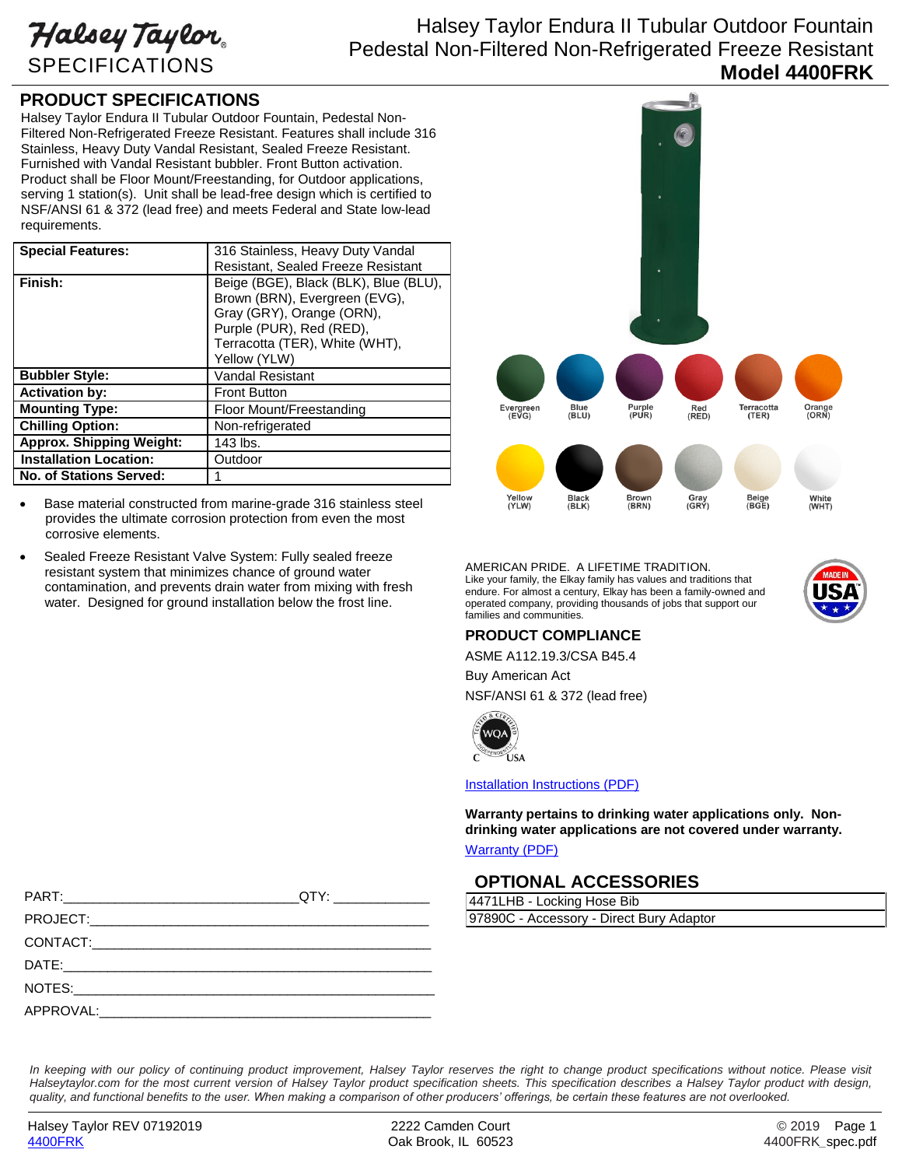Halsey Taylor SPECIFICATIONS

# Halsey Taylor Endura II Tubular Outdoor Fountain Pedestal Non-Filtered Non-Refrigerated Freeze Resistant **Model 4400FRK**

### **PRODUCT SPECIFICATIONS**

Halsey Taylor Endura II Tubular Outdoor Fountain, Pedestal Non-Filtered Non-Refrigerated Freeze Resistant. Features shall include 316 Stainless, Heavy Duty Vandal Resistant, Sealed Freeze Resistant. Furnished with Vandal Resistant bubbler. Front Button activation. Product shall be Floor Mount/Freestanding, for Outdoor applications, serving 1 station(s). Unit shall be lead-free design which is certified to NSF/ANSI 61 & 372 (lead free) and meets Federal and State low-lead requirements.

| <b>Special Features:</b>        | 316 Stainless, Heavy Duty Vandal<br>Resistant, Sealed Freeze Resistant                                                                                                            |
|---------------------------------|-----------------------------------------------------------------------------------------------------------------------------------------------------------------------------------|
| Finish:                         | Beige (BGE), Black (BLK), Blue (BLU),<br>Brown (BRN), Evergreen (EVG),<br>Gray (GRY), Orange (ORN),<br>Purple (PUR), Red (RED),<br>Terracotta (TER), White (WHT),<br>Yellow (YLW) |
| <b>Bubbler Style:</b>           | <b>Vandal Resistant</b>                                                                                                                                                           |
| <b>Activation by:</b>           | <b>Front Button</b>                                                                                                                                                               |
| <b>Mounting Type:</b>           | Floor Mount/Freestanding                                                                                                                                                          |
| <b>Chilling Option:</b>         | Non-refrigerated                                                                                                                                                                  |
| <b>Approx. Shipping Weight:</b> | 143 lbs.                                                                                                                                                                          |
| <b>Installation Location:</b>   | Outdoor                                                                                                                                                                           |
| <b>No. of Stations Served:</b>  | 1                                                                                                                                                                                 |

- Base material constructed from marine-grade 316 stainless steel provides the ultimate corrosion protection from even the most corrosive elements.
- Sealed Freeze Resistant Valve System: Fully sealed freeze resistant system that minimizes chance of ground water contamination, and prevents drain water from mixing with fresh water. Designed for ground installation below the frost line.



AMERICAN PRIDE. A LIFETIME TRADITION. Like your family, the Elkay family has values and traditions that endure. For almost a century, Elkay has been a family-owned and operated company, providing thousands of jobs that support our families and communities.



### **PRODUCT COMPLIANCE**

ASME A112.19.3/CSA B45.4 Buy American Act NSF/ANSI 61 & 372 (lead free)



[Installation Instructions \(PDF\)](http://www.elkay.com/wcsstore/lkdocs/care-cleaning-install-warranty-sheets/97731c.pdf)

**Warranty pertains to drinking water applications only. Nondrinking water applications are not covered under warranty.**

#### [Warranty](http://www.elkay.com/wcsstore/lkdocs/care-cleaning-install-warranty-sheets/96994c.pdf) (PDF)

## **OPTIONAL ACCESSORIES**

4471LHB - Locking Hose Bib 97890C - Accessory - Direct Bury Adaptor

In keeping with our policy of continuing product improvement, Halsey Taylor reserves the right to change product specifications without notice. Please visit *Halseytaylor.com for the most current version of Halsey Taylor product specification sheets. This specification describes a Halsey Taylor product with design, quality, and functional benefits to the user. When making a comparison of other producers' offerings, be certain these features are not overlooked.*